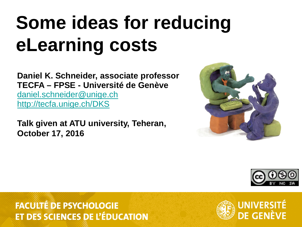### **Some ideas for reducing eLearning costs**

**Daniel K. Schneider, associate professor TECFA – FPSE - Université de Genève** [daniel.schneider@unige.ch](mailto:daniel.schneider@unige.ch) <http://tecfa.unige.ch/DKS>

**Talk given at ATU university, Teheran, October 17, 2016**





#### **FACULTÉ DE PSYCHOLOGIE ET DES SCIENCES DE L'ÉDUCATION**

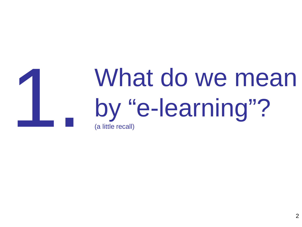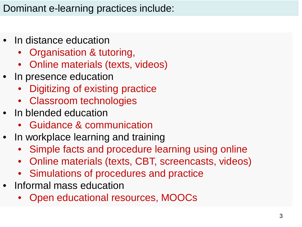#### Dominant e-learning practices include:

- In distance education
	- Organisation & tutoring,
	- Online materials (texts, videos)
- In presence education
	- Digitizing of existing practice
	- Classroom technologies
- In blended education
	- Guidance & communication
- In workplace learning and training
	- Simple facts and procedure learning using online
	- Online materials (texts, CBT, screencasts, videos)
	- Simulations of procedures and practice
- Informal mass education
	- Open educational resources, MOOCs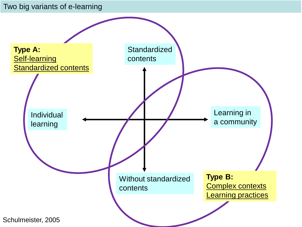#### Two big variants of e-learning

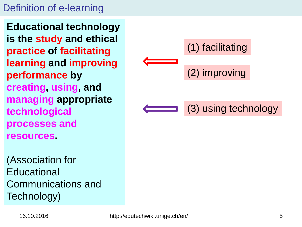#### Definition of e-learning

**Educational technology is the study and ethical practice of facilitating learning and improving performance by creating, using, and managing appropriate technological processes and resources.** 

(Association for **Educational** Communications and Technology)

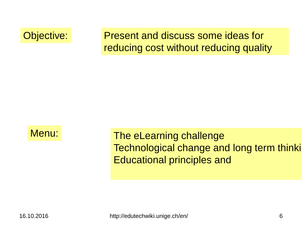Objective: Present and discuss some ideas for reducing cost without reducing quality



Menu: The eLearning challenge Technological change and long term thinki Educational principles and

16.10.2016 http://edutechwiki.unige.ch/en/ 6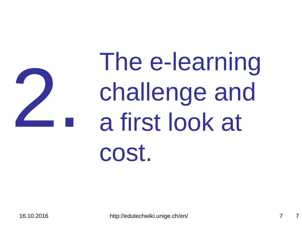

### The e-learning challenge and a first look at cost.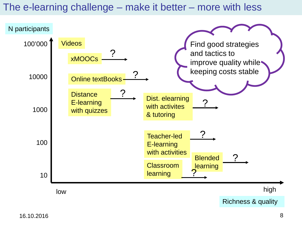#### The e-learning challenge – make it better – more with less

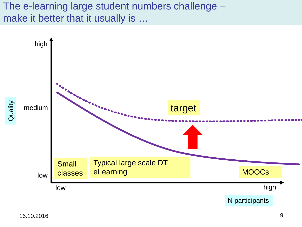#### The e-learning large student numbers challenge – make it better that it usually is …

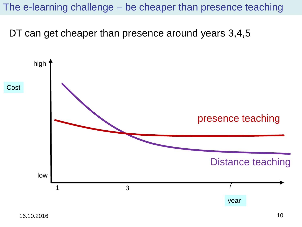The e-learning challenge – be cheaper than presence teaching

DT can get cheaper than presence around years 3,4,5

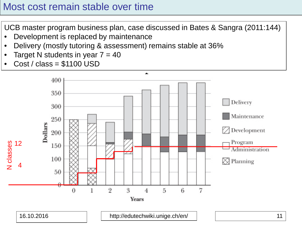#### Most cost remain stable over time

UCB master program business plan, case discussed in Bates & Sangra (2011:144)

- Development is replaced by maintenance
- Delivery (mostly tutoring & assessment) remains stable at 36%
- Target N students in year  $7 = 40$
- $Cost / class = $1100 USD$

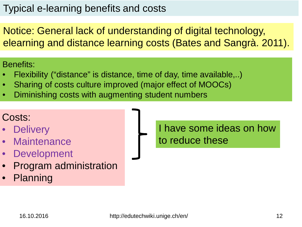#### Typical e-learning benefits and costs

Notice: General lack of understanding of digital technology, elearning and distance learning costs (Bates and Sangrà. 2011).

Benefits:

- Flexibility ("distance" is distance, time of day, time available,..)
- Sharing of costs culture improved (major effect of MOOCs)
- Diminishing costs with augmenting student numbers

### Costs:

- **Delivery**
- Maintenance
- Development
- Program administration
- Planning

I have some ideas on how to reduce these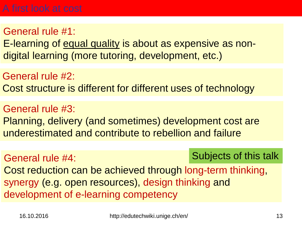General rule #1: E-learning of equal quality is about as expensive as nondigital learning (more tutoring, development, etc.)

General rule #2: Cost structure is different for different uses of technology

General rule #3: Planning, delivery (and sometimes) development cost are underestimated and contribute to rebellion and failure

General rule #4:

#### Subjects of this talk

Cost reduction can be achieved through long-term thinking, synergy (e.g. open resources), design thinking and development of e-learning competency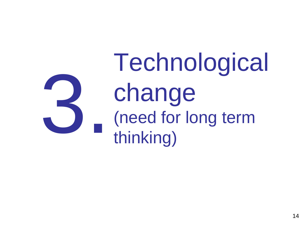Technological change (need for long term thinking) 3.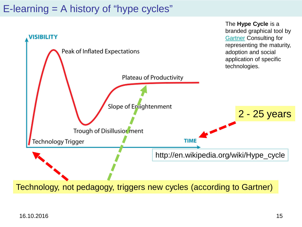#### E-learning = A history of "hype cycles"



Technology, not pedagogy, triggers new cycles (according to Gartner)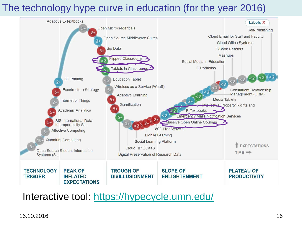#### The technology hype curve in education (for the year 2016)



Interactive tool:<https://hypecycle.umn.edu/>

16.10.2016 16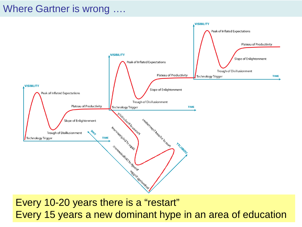#### Where Gartner is wrong ….



Every 15 years a new dominant hype in an area of education Every 10-20 years there is a "restart"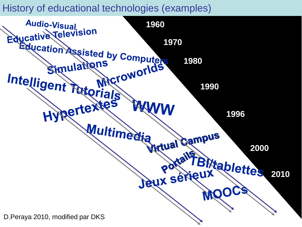#### History of educational technologies (examples)

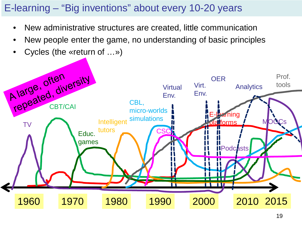#### E-learning – "Big inventions" about every 10-20 years

- New administrative structures are created, little communication
- New people enter the game, no understanding of basic principles
- Cycles (the «return of …»)

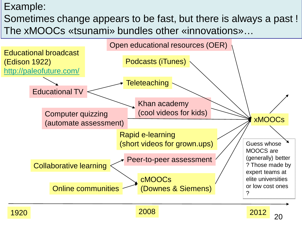#### Example:

Sometimes change appears to be fast, but there is always a past ! The xMOOCs «tsunami» bundles other «innovations»…





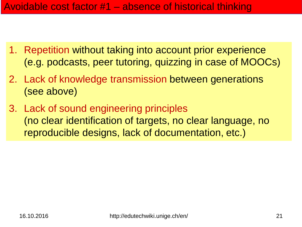- 1. Repetition without taking into account prior experience (e.g. podcasts, peer tutoring, quizzing in case of MOOCs)
- 2. Lack of knowledge transmission between generations (see above)
- 3. Lack of sound engineering principles (no clear identification of targets, no clear language, no reproducible designs, lack of documentation, etc.)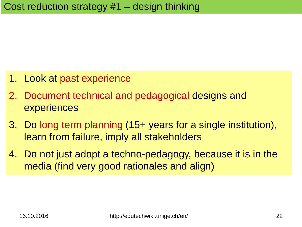- 1. Look at past experience
- 2. Document technical and pedagogical designs and experiences
- 3. Do long term planning (15+ years for a single institution), learn from failure, imply all stakeholders
- 4. Do not just adopt a techno-pedagogy, because it is in the media (find very good rationales and align)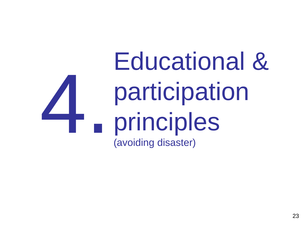### Educational & participation principles (avoiding disaster) 4.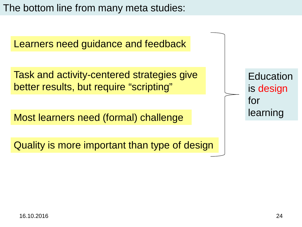The bottom line from many meta studies:

Learners need guidance and feedback

Task and activity-centered strategies give better results, but require "scripting"

Most learners need (formal) challenge

Quality is more important than type of design

| Education |
|-----------|
| is design |
| for       |
| learning  |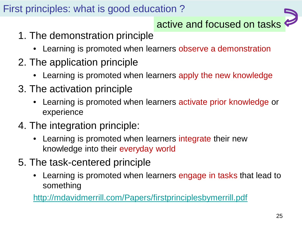#### First principles: what is good education ?



- 1. The demonstration principle
	- Learning is promoted when learners observe a demonstration
- 2. The application principle
	- Learning is promoted when learners apply the new knowledge
- 3. The activation principle
	- Learning is promoted when learners activate prior knowledge or experience
- 4. The integration principle:
	- Learning is promoted when learners integrate their new knowledge into their everyday world
- 5. The task-centered principle
	- Learning is promoted when learners engage in tasks that lead to something

<http://mdavidmerrill.com/Papers/firstprinciplesbymerrill.pdf>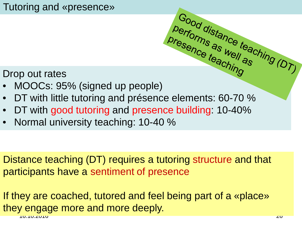#### Tutoring and «presence»

#### Drop out rates

- Presence as well as will approach the model of the ching (DT)
- DT with little tutoring and présence elements: 60-70 %
- DT with good tutoring and presence building: 10-40%
- Normal university teaching: 10-40 %

Distance teaching (DT) requires a tutoring structure and that participants have a sentiment of presence

16.10.2016 26 If they are coached, tutored and feel being part of a «place» they engage more and more deeply.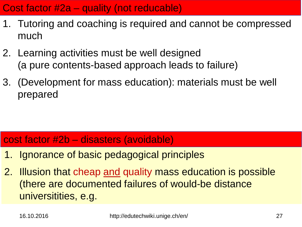#### Cost factor #2a – quality (not reducable)

- 1. Tutoring and coaching is required and cannot be compressed much
- 2. Learning activities must be well designed (a pure contents-based approach leads to failure)
- 3. (Development for mass education): materials must be well prepared

#### cost factor #2b – disasters (avoidable)

- 1. Ignorance of basic pedagogical principles
- 2. Illusion that cheap and quality mass education is possible (there are documented failures of would-be distance universitities, e.g.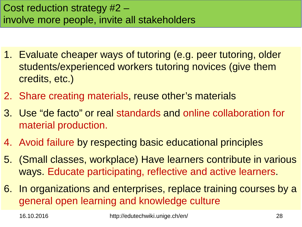- 1. Evaluate cheaper ways of tutoring (e.g. peer tutoring, older students/experienced workers tutoring novices (give them credits, etc.)
- 2. Share creating materials, reuse other's materials
- 3. Use "de facto" or real standards and online collaboration for material production.
- 4. Avoid failure by respecting basic educational principles
- 5. (Small classes, workplace) Have learners contribute in various ways. Educate participating, reflective and active learners.
- 6. In organizations and enterprises, replace training courses by a general open learning and knowledge culture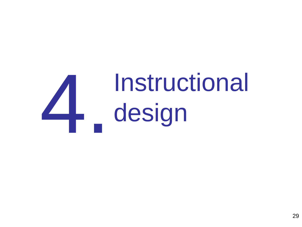# Instructional design 4.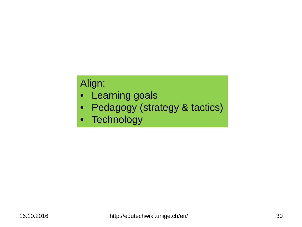#### Align:

- Learning goals
- Pedagogy (strategy & tactics)
- Technology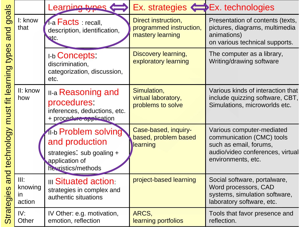|                                                                                             |                                 | Learning types                                                                                               | Ex. strategies Ex. technologies                                    |                                                                                                                                            |
|---------------------------------------------------------------------------------------------|---------------------------------|--------------------------------------------------------------------------------------------------------------|--------------------------------------------------------------------|--------------------------------------------------------------------------------------------------------------------------------------------|
| goals<br>and<br>types<br>fit learning<br>must<br>technology<br>and<br><b>S</b><br>Strategie | I: know<br>that                 | 1-a Facts : recall,<br>description, identification,<br>RtC.                                                  | Direct instruction,<br>programmed instruction,<br>mastery learning | Presentation of contents (texts,<br>pictures, diagrams, multimedia<br>animations)<br>on various technical supports.                        |
|                                                                                             |                                 | <b>I-b Concepts:</b><br>discrimination,<br>categorization, discussion,<br>etc.                               | Discovery learning,<br>exploratory learning                        | The computer as a library,<br>Writing/drawing software                                                                                     |
|                                                                                             | II: know<br>how                 | <b>II-a Reasoning and</b><br>procedures:<br>inferences, deductions, etc.<br>+ procedure application          | Simulation,<br>virtual laboratory,<br>problems to solve            | Various kinds of interaction that<br>include quizzing software, CBT,<br>Simulations, microworlds etc.                                      |
|                                                                                             |                                 | 11-b Problem solving<br>and production<br>strategies: sub goaling +<br>application of<br>he uristics/methods | Case-based, inquiry-<br>based, problem based<br>learning           | Various computer-mediated<br>communication (CMC) tools<br>such as email, forums,<br>audio/video conferences, virtual<br>environments, etc. |
|                                                                                             | III:<br>knowing<br>in<br>action | <b>III Situated action</b><br>strategies in complex and<br>authentic situations                              | project-based learning                                             | Social software, portalware,<br>Word processors, CAD<br>systems, simulation software,<br>laboratory software, etc.                         |
|                                                                                             | IV:<br>Other                    | IV Other: e.g. motivation,<br>emotion, reflection                                                            | ARCS,<br>learning portfolios                                       | Tools that favor presence and<br>reflection.                                                                                               |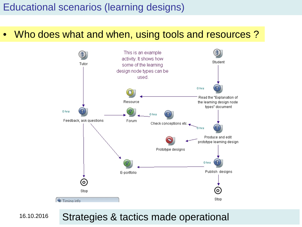#### Educational scenarios (learning designs)

• Who does what and when, using tools and resources ?



16.10.2016

Strategies & tactics made operational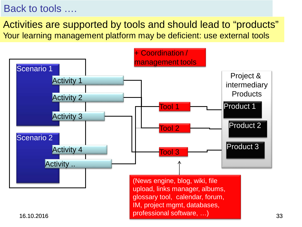#### Back to tools ….

Activities are supported by tools and should lead to "products" Your learning management platform may be deficient: use external tools

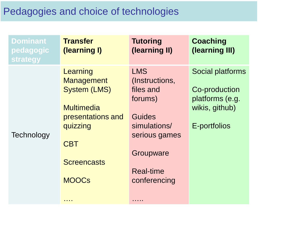#### Pedagogies and choice of technologies

| <b>Dominant</b><br>pedagogic<br><b>strategy</b> | <b>Transfer</b><br>(learning I)                                                                                                                                     | <b>Tutoring</b><br>(learning II)                                                                                                                             | <b>Coaching</b><br>(learning III)                                                             |
|-------------------------------------------------|---------------------------------------------------------------------------------------------------------------------------------------------------------------------|--------------------------------------------------------------------------------------------------------------------------------------------------------------|-----------------------------------------------------------------------------------------------|
| Technology                                      | Learning<br><b>Management</b><br><b>System (LMS)</b><br><b>Multimedia</b><br>presentations and<br>quizzing<br><b>CBT</b><br><b>Screencasts</b><br><b>MOOCS</b><br>. | <b>LMS</b><br>(Instructions,<br>files and<br>forums)<br><b>Guides</b><br>simulations/<br>serious games<br>Groupware<br><b>Real-time</b><br>conferencing<br>. | <b>Social platforms</b><br>Co-production<br>platforms (e.g.<br>wikis, github)<br>E-portfolios |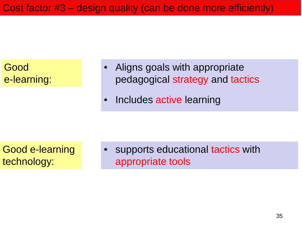Cost factor #3 – design quality (can be done more efficiently)



Good e-learning technology:

supports educational tactics with appropriate tools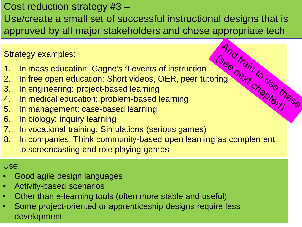#### Cost reduction strategy #3 –

Use/create a small set of successful instructional designs that is approved by all major stakeholders and chose appropriate tech<br>
Strategy examples:<br>
1. In mass education: Gagne's 9 events of instruction<br>
2. In free open education: Short videos, OER, peer tutoring<br>
3. In engineering: proj

Strategy examples:

- 1. In mass education: Gagne's 9 events of instruction
- 2. In free open education: Short videos, OER, peer tutoring
- 3. In engineering: project-based learning
- 4. In medical education: problem-based learning
- 5. In management: case-based learning
- 6. In biology: inquiry learning
- 7. In vocational training: Simulations (serious games)
- 8. In companies: Think community-based open learning as complement to screencasting and role playing games

Use:

- Good agile design languages
- Activity-based scenarios
- Other than e-learning tools (often more stable and useful)
- Some project-oriented or apprenticeship designs require less development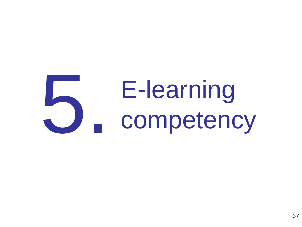# E-learning competency 5.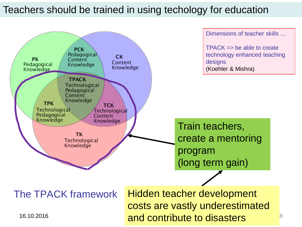#### Teachers should be trained in using techology for education

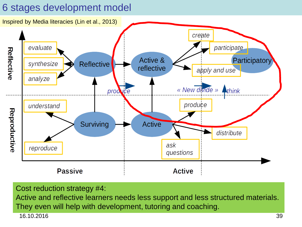#### 6 stages development model



Cost reduction strategy #4:

16.10.2016 39 Active and reflective learners needs less support and less structured materials. They even will help with development, tutoring and coaching.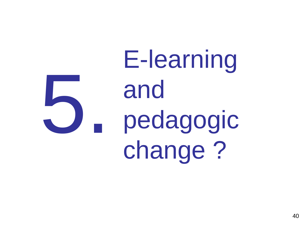E-learning and pedagogic change ? 5.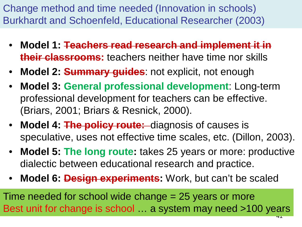Change method and time needed (Innovation in schools) Burkhardt and Schoenfeld, Educational Researcher (2003)

- **Model 1: Teachers read research and implement it in their classrooms:** teachers neither have time nor skills
- **Model 2: Summary guides**: not explicit, not enough
- **Model 3: General professional development**: Long-term professional development for teachers can be effective. (Briars, 2001; Briars & Resnick, 2000).
- **Model 4: The policy route:** diagnosis of causes is speculative, uses not effective time scales, etc. (Dillon, 2003).
- **Model 5: The long route:** takes 25 years or more: productive dialectic between educational research and practice.
- **Model 6: Design experiments:** Work, but can't be scaled

41 Time needed for school wide change = 25 years or more Best unit for change is school … a system may need >100 years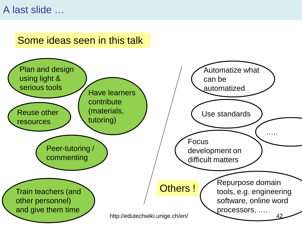#### A last slide …

#### Some ideas seen in this talk